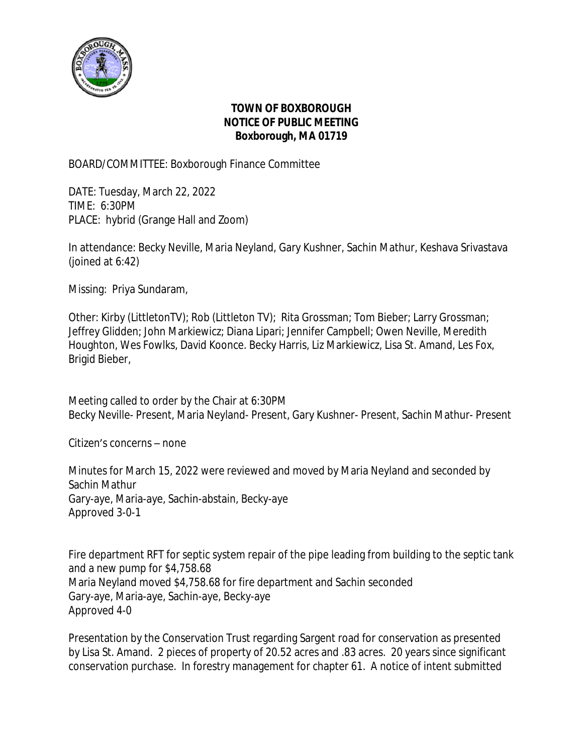

## **TOWN OF BOXBOROUGH NOTICE OF PUBLIC MEETING Boxborough, MA 01719**

BOARD/COMMITTEE: Boxborough Finance Committee

DATE: Tuesday, March 22, 2022 TIME: 6:30PM PLACE: hybrid (Grange Hall and Zoom)

In attendance: Becky Neville, Maria Neyland, Gary Kushner, Sachin Mathur, Keshava Srivastava (joined at 6:42)

Missing: Priya Sundaram,

Other: Kirby (LittletonTV); Rob (Littleton TV); Rita Grossman; Tom Bieber; Larry Grossman; Jeffrey Glidden; John Markiewicz; Diana Lipari; Jennifer Campbell; Owen Neville, Meredith Houghton, Wes Fowlks, David Koonce. Becky Harris, Liz Markiewicz, Lisa St. Amand, Les Fox, Brigid Bieber,

Meeting called to order by the Chair at 6:30PM Becky Neville- Present, Maria Neyland- Present, Gary Kushner- Present, Sachin Mathur- Present

Citizen's concerns – none

Minutes for March 15, 2022 were reviewed and moved by Maria Neyland and seconded by Sachin Mathur Gary-aye, Maria-aye, Sachin-abstain, Becky-aye Approved 3-0-1

Fire department RFT for septic system repair of the pipe leading from building to the septic tank and a new pump for \$4,758.68 Maria Neyland moved \$4,758.68 for fire department and Sachin seconded Gary-aye, Maria-aye, Sachin-aye, Becky-aye Approved 4-0

Presentation by the Conservation Trust regarding Sargent road for conservation as presented by Lisa St. Amand. 2 pieces of property of 20.52 acres and .83 acres. 20 years since significant conservation purchase. In forestry management for chapter 61. A notice of intent submitted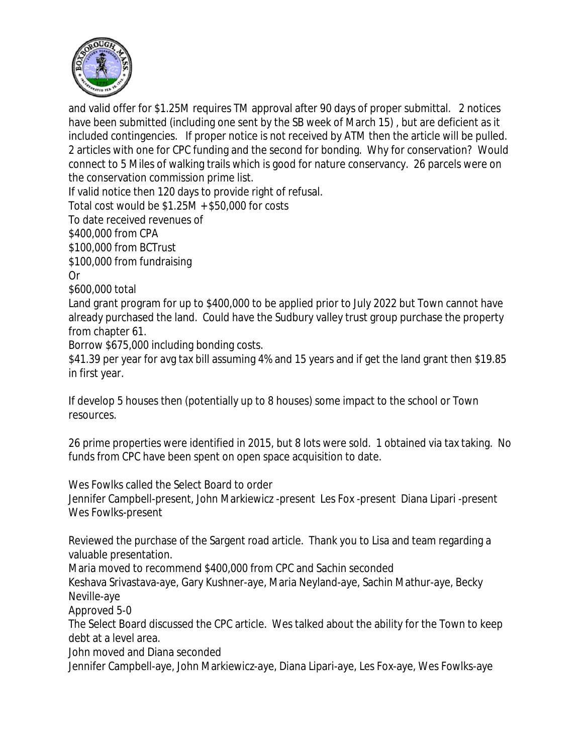

and valid offer for \$1.25M requires TM approval after 90 days of proper submittal. 2 notices have been submitted (including one sent by the SB week of March 15) , but are deficient as it included contingencies. If proper notice is not received by ATM then the article will be pulled. 2 articles with one for CPC funding and the second for bonding. Why for conservation? Would connect to 5 Miles of walking trails which is good for nature conservancy. 26 parcels were on the conservation commission prime list.

If valid notice then 120 days to provide right of refusal.

Total cost would be \$1.25M + \$50,000 for costs

To date received revenues of

\$400,000 from CPA

\$100,000 from BCTrust

\$100,000 from fundraising

Or

\$600,000 total

Land grant program for up to \$400,000 to be applied prior to July 2022 but Town cannot have already purchased the land. Could have the Sudbury valley trust group purchase the property from chapter 61.

Borrow \$675,000 including bonding costs.

\$41.39 per year for avg tax bill assuming 4% and 15 years and if get the land grant then \$19.85 in first year.

If develop 5 houses then (potentially up to 8 houses) some impact to the school or Town resources.

26 prime properties were identified in 2015, but 8 lots were sold. 1 obtained via tax taking. No funds from CPC have been spent on open space acquisition to date.

Wes Fowlks called the Select Board to order

Jennifer Campbell-present, John Markiewicz -present Les Fox -present Diana Lipari -present Wes Fowlks-present

Reviewed the purchase of the Sargent road article. Thank you to Lisa and team regarding a valuable presentation.

Maria moved to recommend \$400,000 from CPC and Sachin seconded

Keshava Srivastava-aye, Gary Kushner-aye, Maria Neyland-aye, Sachin Mathur-aye, Becky Neville-aye

Approved 5-0

The Select Board discussed the CPC article. Wes talked about the ability for the Town to keep debt at a level area.

John moved and Diana seconded

Jennifer Campbell-aye, John Markiewicz-aye, Diana Lipari-aye, Les Fox-aye, Wes Fowlks-aye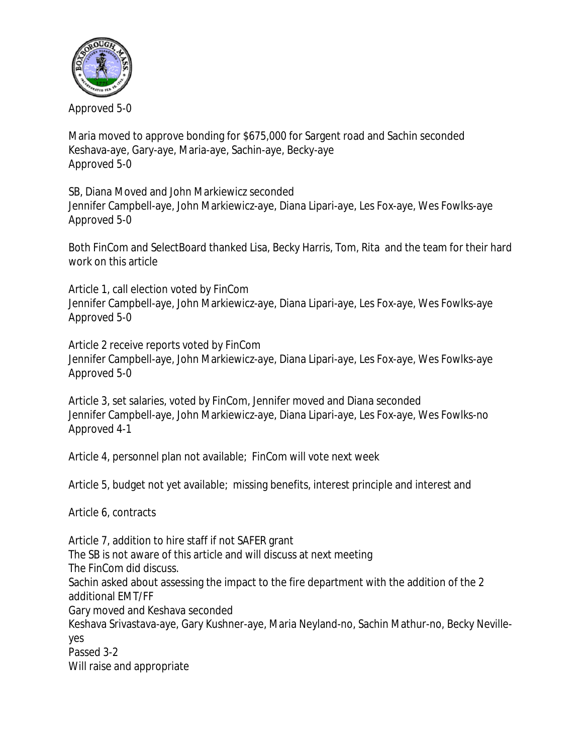

Approved 5-0

Maria moved to approve bonding for \$675,000 for Sargent road and Sachin seconded Keshava-aye, Gary-aye, Maria-aye, Sachin-aye, Becky-aye Approved 5-0

SB, Diana Moved and John Markiewicz seconded

Jennifer Campbell-aye, John Markiewicz-aye, Diana Lipari-aye, Les Fox-aye, Wes Fowlks-aye Approved 5-0

Both FinCom and SelectBoard thanked Lisa, Becky Harris, Tom, Rita and the team for their hard work on this article

Article 1, call election voted by FinCom Jennifer Campbell-aye, John Markiewicz-aye, Diana Lipari-aye, Les Fox-aye, Wes Fowlks-aye Approved 5-0

Article 2 receive reports voted by FinCom Jennifer Campbell-aye, John Markiewicz-aye, Diana Lipari-aye, Les Fox-aye, Wes Fowlks-aye Approved 5-0

Article 3, set salaries, voted by FinCom, Jennifer moved and Diana seconded Jennifer Campbell-aye, John Markiewicz-aye, Diana Lipari-aye, Les Fox-aye, Wes Fowlks-no Approved 4-1

Article 4, personnel plan not available; FinCom will vote next week

Article 5, budget not yet available; missing benefits, interest principle and interest and

Article 6, contracts

Article 7, addition to hire staff if not SAFER grant The SB is not aware of this article and will discuss at next meeting The FinCom did discuss. Sachin asked about assessing the impact to the fire department with the addition of the 2 additional EMT/FF Gary moved and Keshava seconded Keshava Srivastava-aye, Gary Kushner-aye, Maria Neyland-no, Sachin Mathur-no, Becky Nevilleyes Passed 3-2 Will raise and appropriate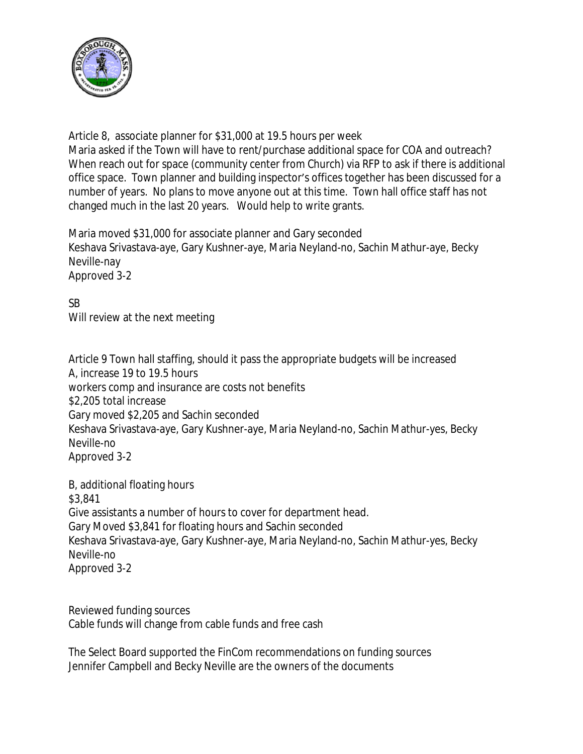

Article 8, associate planner for \$31,000 at 19.5 hours per week Maria asked if the Town will have to rent/purchase additional space for COA and outreach? When reach out for space (community center from Church) via RFP to ask if there is additional office space. Town planner and building inspector's offices together has been discussed for a number of years. No plans to move anyone out at this time. Town hall office staff has not changed much in the last 20 years. Would help to write grants.

Maria moved \$31,000 for associate planner and Gary seconded Keshava Srivastava-aye, Gary Kushner-aye, Maria Neyland-no, Sachin Mathur-aye, Becky Neville-nay Approved 3-2

SB Will review at the next meeting

Article 9 Town hall staffing, should it pass the appropriate budgets will be increased A, increase 19 to 19.5 hours workers comp and insurance are costs not benefits \$2,205 total increase Gary moved \$2,205 and Sachin seconded Keshava Srivastava-aye, Gary Kushner-aye, Maria Neyland-no, Sachin Mathur-yes, Becky Neville-no Approved 3-2

B, additional floating hours \$3,841 Give assistants a number of hours to cover for department head. Gary Moved \$3,841 for floating hours and Sachin seconded Keshava Srivastava-aye, Gary Kushner-aye, Maria Neyland-no, Sachin Mathur-yes, Becky Neville-no Approved 3-2

Reviewed funding sources Cable funds will change from cable funds and free cash

The Select Board supported the FinCom recommendations on funding sources Jennifer Campbell and Becky Neville are the owners of the documents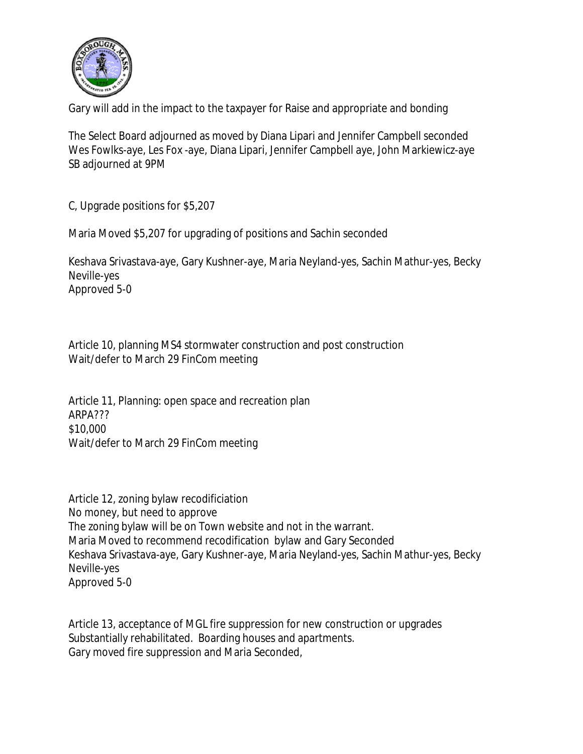

Gary will add in the impact to the taxpayer for Raise and appropriate and bonding

The Select Board adjourned as moved by Diana Lipari and Jennifer Campbell seconded Wes Fowlks-aye, Les Fox -aye, Diana Lipari, Jennifer Campbell aye, John Markiewicz-aye SB adjourned at 9PM

C, Upgrade positions for \$5,207

Maria Moved \$5,207 for upgrading of positions and Sachin seconded

Keshava Srivastava-aye, Gary Kushner-aye, Maria Neyland-yes, Sachin Mathur-yes, Becky Neville-yes Approved 5-0

Article 10, planning MS4 stormwater construction and post construction Wait/defer to March 29 FinCom meeting

Article 11, Planning: open space and recreation plan ARPA??? \$10,000 Wait/defer to March 29 FinCom meeting

Article 12, zoning bylaw recodificiation No money, but need to approve The zoning bylaw will be on Town website and not in the warrant. Maria Moved to recommend recodification bylaw and Gary Seconded Keshava Srivastava-aye, Gary Kushner-aye, Maria Neyland-yes, Sachin Mathur-yes, Becky Neville-yes Approved 5-0

Article 13, acceptance of MGL fire suppression for new construction or upgrades Substantially rehabilitated. Boarding houses and apartments. Gary moved fire suppression and Maria Seconded,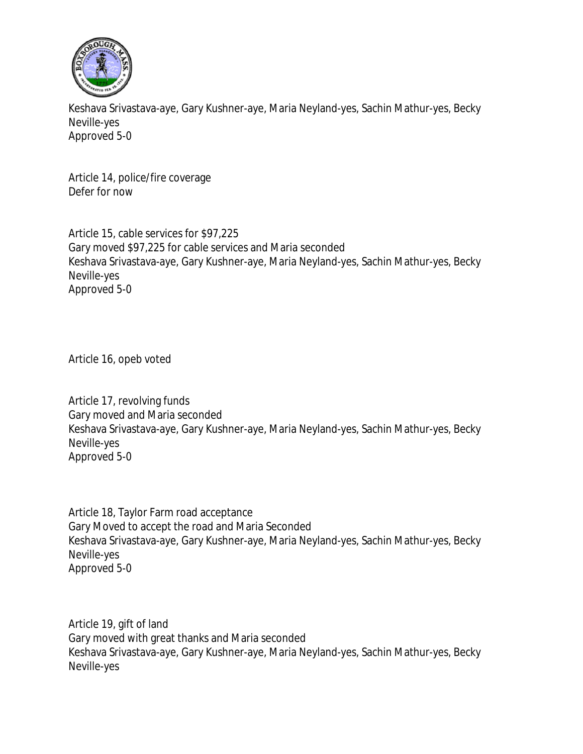

Keshava Srivastava-aye, Gary Kushner-aye, Maria Neyland-yes, Sachin Mathur-yes, Becky Neville-yes Approved 5-0

Article 14, police/fire coverage Defer for now

Article 15, cable services for \$97,225 Gary moved \$97,225 for cable services and Maria seconded Keshava Srivastava-aye, Gary Kushner-aye, Maria Neyland-yes, Sachin Mathur-yes, Becky Neville-yes Approved 5-0

Article 16, opeb voted

Article 17, revolving funds Gary moved and Maria seconded Keshava Srivastava-aye, Gary Kushner-aye, Maria Neyland-yes, Sachin Mathur-yes, Becky Neville-yes Approved 5-0

Article 18, Taylor Farm road acceptance Gary Moved to accept the road and Maria Seconded Keshava Srivastava-aye, Gary Kushner-aye, Maria Neyland-yes, Sachin Mathur-yes, Becky Neville-yes Approved 5-0

Article 19, gift of land Gary moved with great thanks and Maria seconded Keshava Srivastava-aye, Gary Kushner-aye, Maria Neyland-yes, Sachin Mathur-yes, Becky Neville-yes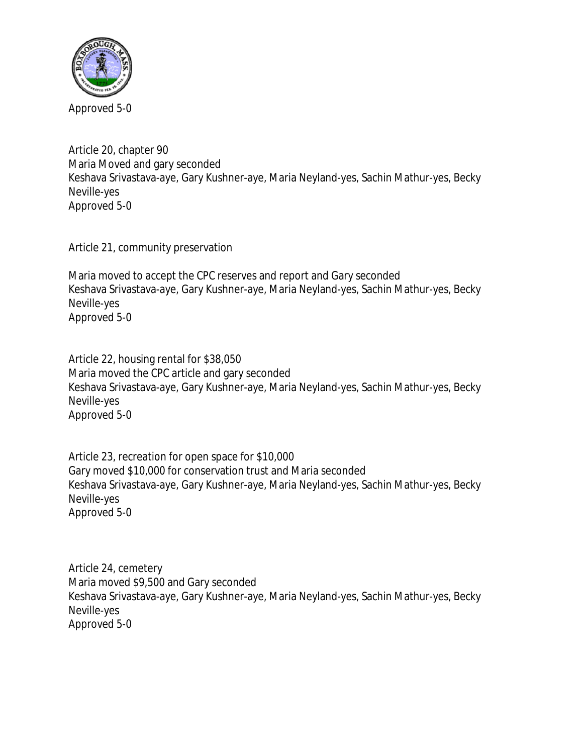

Article 20, chapter 90 Maria Moved and gary seconded Keshava Srivastava-aye, Gary Kushner-aye, Maria Neyland-yes, Sachin Mathur-yes, Becky Neville-yes Approved 5-0

Article 21, community preservation

Maria moved to accept the CPC reserves and report and Gary seconded Keshava Srivastava-aye, Gary Kushner-aye, Maria Neyland-yes, Sachin Mathur-yes, Becky Neville-yes Approved 5-0

Article 22, housing rental for \$38,050 Maria moved the CPC article and gary seconded Keshava Srivastava-aye, Gary Kushner-aye, Maria Neyland-yes, Sachin Mathur-yes, Becky Neville-yes Approved 5-0

Article 23, recreation for open space for \$10,000 Gary moved \$10,000 for conservation trust and Maria seconded Keshava Srivastava-aye, Gary Kushner-aye, Maria Neyland-yes, Sachin Mathur-yes, Becky Neville-yes Approved 5-0

Article 24, cemetery Maria moved \$9,500 and Gary seconded Keshava Srivastava-aye, Gary Kushner-aye, Maria Neyland-yes, Sachin Mathur-yes, Becky Neville-yes Approved 5-0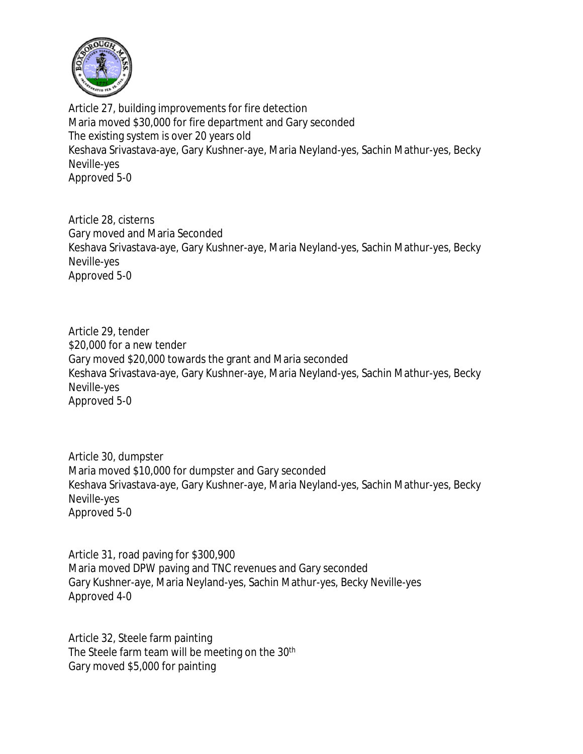

Article 27, building improvements for fire detection Maria moved \$30,000 for fire department and Gary seconded The existing system is over 20 years old Keshava Srivastava-aye, Gary Kushner-aye, Maria Neyland-yes, Sachin Mathur-yes, Becky Neville-yes Approved 5-0

Article 28, cisterns Gary moved and Maria Seconded Keshava Srivastava-aye, Gary Kushner-aye, Maria Neyland-yes, Sachin Mathur-yes, Becky Neville-yes Approved 5-0

Article 29, tender \$20,000 for a new tender Gary moved \$20,000 towards the grant and Maria seconded Keshava Srivastava-aye, Gary Kushner-aye, Maria Neyland-yes, Sachin Mathur-yes, Becky Neville-yes Approved 5-0

Article 30, dumpster Maria moved \$10,000 for dumpster and Gary seconded Keshava Srivastava-aye, Gary Kushner-aye, Maria Neyland-yes, Sachin Mathur-yes, Becky Neville-yes Approved 5-0

Article 31, road paving for \$300,900 Maria moved DPW paving and TNC revenues and Gary seconded Gary Kushner-aye, Maria Neyland-yes, Sachin Mathur-yes, Becky Neville-yes Approved 4-0

Article 32, Steele farm painting The Steele farm team will be meeting on the 30<sup>th</sup> Gary moved \$5,000 for painting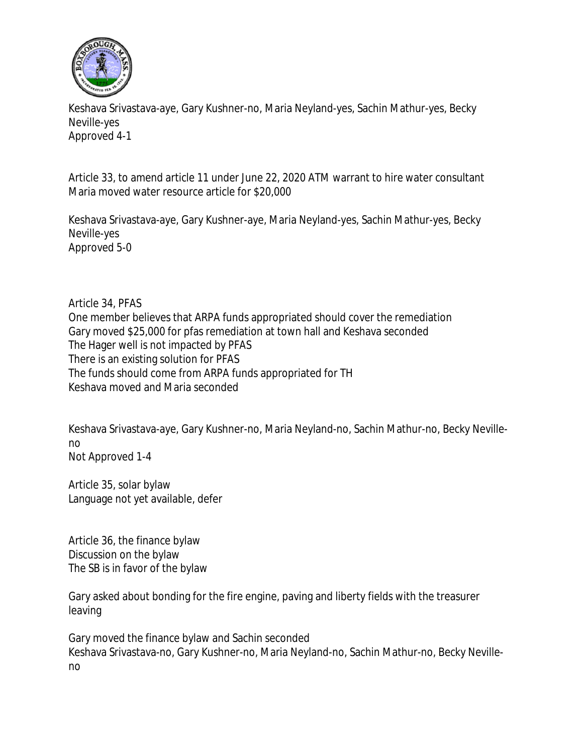

Keshava Srivastava-aye, Gary Kushner-no, Maria Neyland-yes, Sachin Mathur-yes, Becky Neville-yes Approved 4-1

Article 33, to amend article 11 under June 22, 2020 ATM warrant to hire water consultant Maria moved water resource article for \$20,000

Keshava Srivastava-aye, Gary Kushner-aye, Maria Neyland-yes, Sachin Mathur-yes, Becky Neville-yes Approved 5-0

Article 34, PFAS One member believes that ARPA funds appropriated should cover the remediation Gary moved \$25,000 for pfas remediation at town hall and Keshava seconded The Hager well is not impacted by PFAS There is an existing solution for PFAS The funds should come from ARPA funds appropriated for TH Keshava moved and Maria seconded

Keshava Srivastava-aye, Gary Kushner-no, Maria Neyland-no, Sachin Mathur-no, Becky Nevilleno Not Approved 1-4

Article 35, solar bylaw Language not yet available, defer

Article 36, the finance bylaw Discussion on the bylaw The SB is in favor of the bylaw

Gary asked about bonding for the fire engine, paving and liberty fields with the treasurer leaving

Gary moved the finance bylaw and Sachin seconded Keshava Srivastava-no, Gary Kushner-no, Maria Neyland-no, Sachin Mathur-no, Becky Nevilleno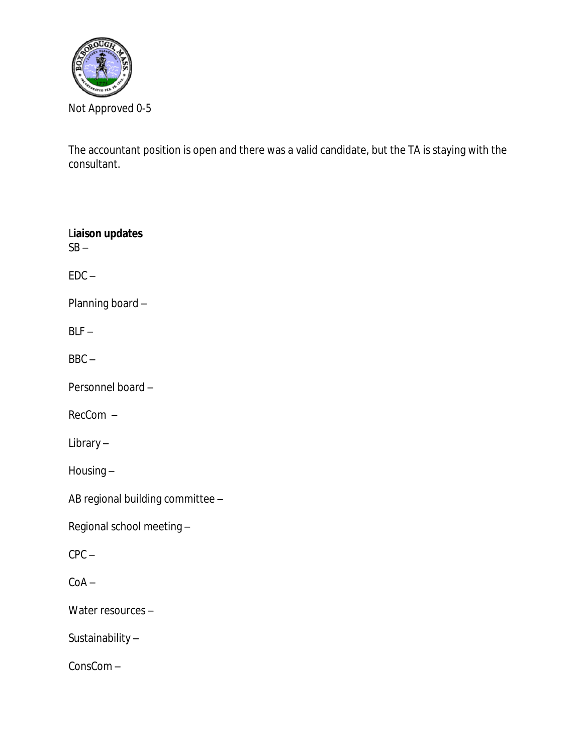

The accountant position is open and there was a valid candidate, but the TA is staying with the consultant.

L**iaison updates**  $SB EDC -$ Planning board –  $BLF BBC -$ Personnel board – RecCom – Library – Housing – AB regional building committee –

Regional school meeting –

CPC –

 $CoA -$ 

Water resources –

Sustainability –

ConsCom –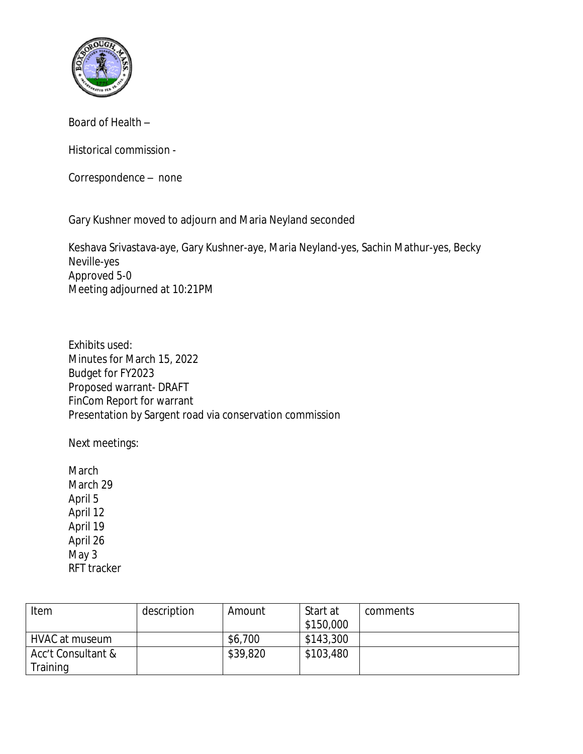

Board of Health –

Historical commission -

Correspondence – none

Gary Kushner moved to adjourn and Maria Neyland seconded

Keshava Srivastava-aye, Gary Kushner-aye, Maria Neyland-yes, Sachin Mathur-yes, Becky Neville-yes Approved 5-0 Meeting adjourned at 10:21PM

Exhibits used: Minutes for March 15, 2022 Budget for FY2023 Proposed warrant- DRAFT FinCom Report for warrant Presentation by Sargent road via conservation commission

Next meetings:

March March 29 April 5 April 12 April 19 April 26 May 3 RFT tracker

| Item               | description | Amount   | Start at<br>\$150,000 | comments |
|--------------------|-------------|----------|-----------------------|----------|
| HVAC at museum     |             | \$6,700  | \$143,300             |          |
| Acc't Consultant & |             | \$39,820 | \$103,480             |          |
| Training           |             |          |                       |          |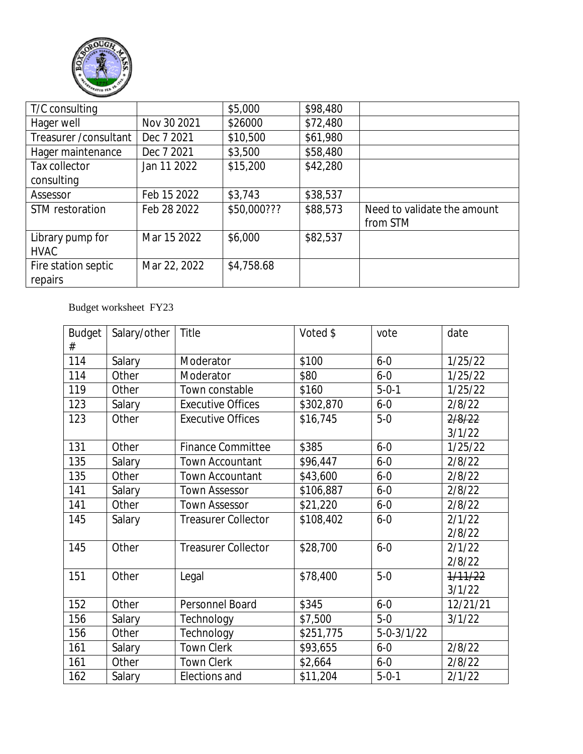

| T/C consulting         |              | \$5,000     | \$98,480 |                             |
|------------------------|--------------|-------------|----------|-----------------------------|
| Hager well             | Nov 30 2021  | \$26000     | \$72,480 |                             |
| Treasurer / consultant | Dec 7 2021   | \$10,500    | \$61,980 |                             |
| Hager maintenance      | Dec 7 2021   | \$3,500     | \$58,480 |                             |
| Tax collector          | Jan 11 2022  | \$15,200    | \$42,280 |                             |
| consulting             |              |             |          |                             |
| Assessor               | Feb 15 2022  | \$3,743     | \$38,537 |                             |
| STM restoration        | Feb 28 2022  | \$50,000??? | \$88,573 | Need to validate the amount |
|                        |              |             |          | from STM                    |
| Library pump for       | Mar 15 2022  | \$6,000     | \$82,537 |                             |
| <b>HVAC</b>            |              |             |          |                             |
| Fire station septic    | Mar 22, 2022 | \$4,758.68  |          |                             |
| repairs                |              |             |          |                             |

## Budget worksheet FY23

| <b>Budget</b><br># | Salary/other | Title                      | Voted \$  | vote             | date     |
|--------------------|--------------|----------------------------|-----------|------------------|----------|
| 114                | Salary       | Moderator                  | \$100     | $6 - 0$          | 1/25/22  |
| 114                | Other        | Moderator                  | \$80      | $6 - 0$          | 1/25/22  |
| 119                | Other        | Town constable             | \$160     | $5 - 0 - 1$      | 1/25/22  |
| 123                | Salary       | <b>Executive Offices</b>   | \$302,870 | $6 - 0$          | 2/8/22   |
| 123                | Other        | <b>Executive Offices</b>   | \$16,745  | $5-0$            | 2/8/22   |
|                    |              |                            |           |                  | 3/1/22   |
| 131                | Other        | <b>Finance Committee</b>   | \$385     | $6 - 0$          | 1/25/22  |
| 135                | Salary       | <b>Town Accountant</b>     | \$96,447  | $6 - 0$          | 2/8/22   |
| 135                | Other        | <b>Town Accountant</b>     | \$43,600  | $6 - 0$          | 2/8/22   |
| 141                | Salary       | <b>Town Assessor</b>       | \$106,887 | $6 - 0$          | 2/8/22   |
| 141                | Other        | <b>Town Assessor</b>       | \$21,220  | $6 - 0$          | 2/8/22   |
| 145                | Salary       | <b>Treasurer Collector</b> | \$108,402 | $6 - 0$          | 2/1/22   |
|                    |              |                            |           |                  | 2/8/22   |
| 145                | Other        | <b>Treasurer Collector</b> | \$28,700  | $6 - 0$          | 2/1/22   |
|                    |              |                            |           |                  | 2/8/22   |
| 151                | Other        | Legal                      | \$78,400  | $5-0$            | 1/11/22  |
|                    |              |                            |           |                  | 3/1/22   |
| 152                | Other        | Personnel Board            | \$345     | $6 - 0$          | 12/21/21 |
| 156                | Salary       | Technology                 | \$7,500   | $5-0$            | 3/1/22   |
| 156                | Other        | Technology                 | \$251,775 | $5 - 0 - 3/1/22$ |          |
| 161                | Salary       | <b>Town Clerk</b>          | \$93,655  | $6 - 0$          | 2/8/22   |
| 161                | Other        | <b>Town Clerk</b>          | \$2,664   | $6-0$            | 2/8/22   |
| 162                | Salary       | Elections and              | \$11,204  | $5 - 0 - 1$      | 2/1/22   |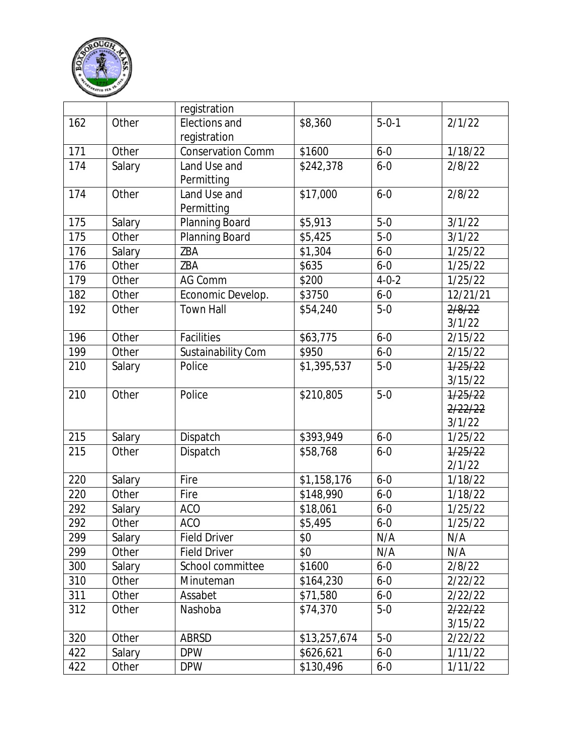

|              |        | registration             |              |                   |          |
|--------------|--------|--------------------------|--------------|-------------------|----------|
| 162<br>Other |        | Elections and            | \$8,360      | $5 - 0 - 1$       | 2/1/22   |
|              |        | registration             |              |                   |          |
| 171          | Other  | <b>Conservation Comm</b> | \$1600       | $6 - 0$           | 1/18/22  |
| 174          | Salary | Land Use and             | \$242,378    | $6 - 0$           | 2/8/22   |
|              |        | Permitting               |              |                   |          |
| 174          | Other  | Land Use and             | \$17,000     | $6 - 0$           | 2/8/22   |
|              |        | Permitting               |              |                   |          |
| 175          | Salary | Planning Board           | \$5,913      | $5-0$             | 3/1/22   |
| 175          | Other  | Planning Board           | \$5,425      | $\overline{5}$ -0 | 3/1/22   |
| 176          | Salary | ZBA                      | \$1,304      | $6 - 0$           | 1/25/22  |
| 176          | Other  | ZBA                      | \$635        | $6 - 0$           | 1/25/22  |
| 179          | Other  | <b>AG Comm</b>           | \$200        | $4 - 0 - 2$       | 1/25/22  |
| 182          | Other  | Economic Develop.        | \$3750       | $6 - 0$           | 12/21/21 |
| 192          | Other  | <b>Town Hall</b>         | \$54,240     | $5-0$             | 2/8/22   |
|              |        |                          |              |                   | 3/1/22   |
| 196          | Other  | Facilities               | \$63,775     | $6 - 0$           | 2/15/22  |
| 199          | Other  | Sustainability Com       | \$950        | $6 - 0$           | 2/15/22  |
| 210          | Salary | Police                   | \$1,395,537  | $5-0$             | 1/25/22  |
|              |        |                          |              |                   | 3/15/22  |
| 210          | Other  | Police                   | \$210,805    | $5-0$             | 1/25/22  |
|              |        |                          |              |                   | 2/22/22  |
|              |        |                          |              |                   | 3/1/22   |
| 215          | Salary | Dispatch                 | \$393,949    | $6 - 0$           | 1/25/22  |
| 215          | Other  | Dispatch                 | \$58,768     | $6 - 0$           | 1/25/22  |
|              |        |                          |              |                   | 2/1/22   |
| 220          | Salary | Fire                     | \$1,158,176  | $6 - 0$           | 1/18/22  |
| 220          | Other  | Fire                     | \$148,990    | $6 - 0$           | 1/18/22  |
| 292          | Salary | <b>ACO</b>               | \$18,061     | $6 - 0$           | 1/25/22  |
| 292          | Other  | <b>ACO</b>               | \$5,495      | $6 - 0$           | 1/25/22  |
| 299          | Salary | <b>Field Driver</b>      | \$0          | N/A               | N/A      |
| 299          | Other  | <b>Field Driver</b>      | \$0          | N/A               | N/A      |
| 300          | Salary | School committee         | \$1600       | $6 - 0$           | 2/8/22   |
| 310          | Other  | Minuteman                | \$164,230    | $6 - 0$           | 2/22/22  |
| 311          | Other  | Assabet                  | \$71,580     | $6 - 0$           | 2/22/22  |
| 312          | Other  | Nashoba                  | \$74,370     | $5-0$             | 2/22/22  |
|              |        |                          |              |                   | 3/15/22  |
| 320          | Other  | ABRSD                    | \$13,257,674 | $5-0$             | 2/22/22  |
| 422          | Salary | <b>DPW</b>               | \$626,621    | $6 - 0$           | 1/11/22  |
| 422          | Other  | <b>DPW</b>               | \$130,496    | $6 - 0$           | 1/11/22  |